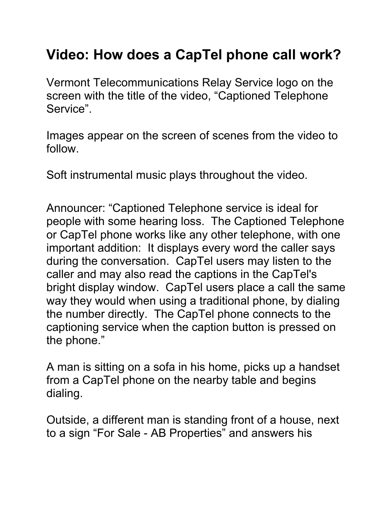## **Video: How does a CapTel phone call work?**

Vermont Telecommunications Relay Service logo on the screen with the title of the video, "Captioned Telephone Service".

Images appear on the screen of scenes from the video to follow.

Soft instrumental music plays throughout the video.

Announcer: "Captioned Telephone service is ideal for people with some hearing loss. The Captioned Telephone or CapTel phone works like any other telephone, with one important addition: It displays every word the caller says during the conversation. CapTel users may listen to the caller and may also read the captions in the CapTel's bright display window. CapTel users place a call the same way they would when using a traditional phone, by dialing the number directly. The CapTel phone connects to the captioning service when the caption button is pressed on the phone."

A man is sitting on a sofa in his home, picks up a handset from a CapTel phone on the nearby table and begins dialing.

Outside, a different man is standing front of a house, next to a sign "For Sale - AB Properties" and answers his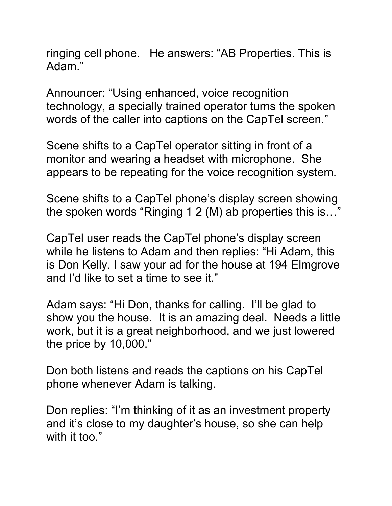ringing cell phone. He answers: "AB Properties. This is Adam."

Announcer: "Using enhanced, voice recognition technology, a specially trained operator turns the spoken words of the caller into captions on the CapTel screen."

Scene shifts to a CapTel operator sitting in front of a monitor and wearing a headset with microphone. She appears to be repeating for the voice recognition system.

Scene shifts to a CapTel phone's display screen showing the spoken words "Ringing 1 2 (M) ab properties this is…"

CapTel user reads the CapTel phone's display screen while he listens to Adam and then replies: "Hi Adam, this is Don Kelly. I saw your ad for the house at 194 Elmgrove and I'd like to set a time to see it."

Adam says: "Hi Don, thanks for calling. I'll be glad to show you the house. It is an amazing deal. Needs a little work, but it is a great neighborhood, and we just lowered the price by 10,000."

Don both listens and reads the captions on his CapTel phone whenever Adam is talking.

Don replies: "I'm thinking of it as an investment property and it's close to my daughter's house, so she can help with it too."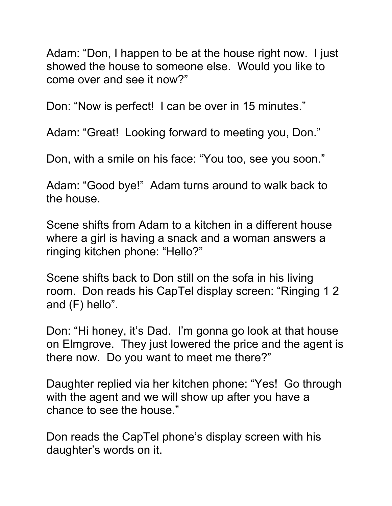Adam: "Don, I happen to be at the house right now. I just showed the house to someone else. Would you like to come over and see it now?"

Don: "Now is perfect! I can be over in 15 minutes."

Adam: "Great! Looking forward to meeting you, Don."

Don, with a smile on his face: "You too, see you soon."

Adam: "Good bye!" Adam turns around to walk back to the house.

Scene shifts from Adam to a kitchen in a different house where a girl is having a snack and a woman answers a ringing kitchen phone: "Hello?"

Scene shifts back to Don still on the sofa in his living room. Don reads his CapTel display screen: "Ringing 1 2 and (F) hello".

Don: "Hi honey, it's Dad. I'm gonna go look at that house on Elmgrove. They just lowered the price and the agent is there now. Do you want to meet me there?"

Daughter replied via her kitchen phone: "Yes! Go through with the agent and we will show up after you have a chance to see the house."

Don reads the CapTel phone's display screen with his daughter's words on it.